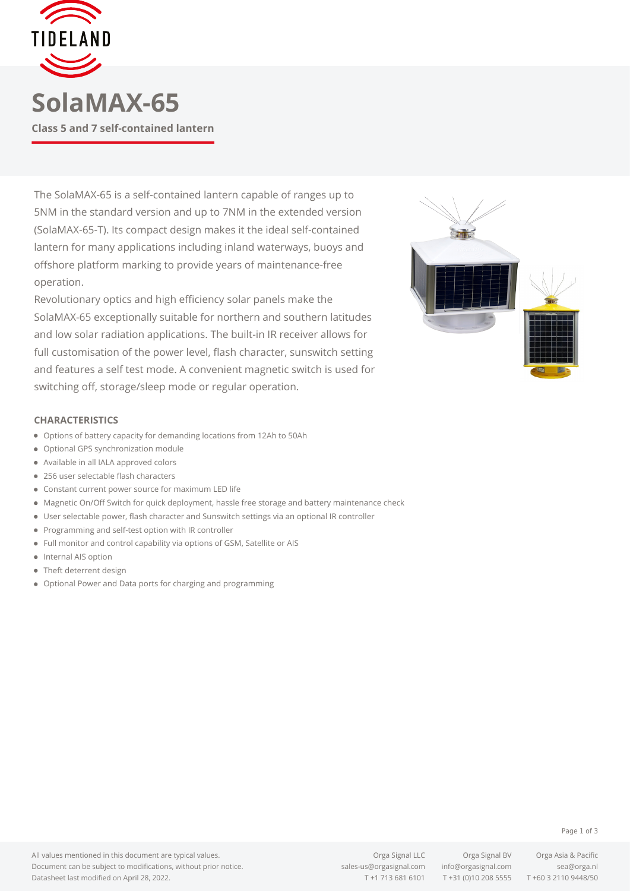

The SolaMAX-65 is a self-contained lantern capable of ranges up to 5NM in the standard version and up to 7NM in the extended version (SolaMAX-65-T). Its compact design makes it the ideal self-contained lantern for many applications including inland waterways, buoys and offshore platform marking to provide years of maintenance-free operation.

Revolutionary optics and high efficiency solar panels make the SolaMAX-65 exceptionally suitable for northern and southern latitudes and low solar radiation applications. The built-in IR receiver allows for full customisation of the power level, flash character, sunswitch setting and features a self test mode. A convenient magnetic switch is used for switching off, storage/sleep mode or regular operation.



## **CHARACTERISTICS**

- Options of battery capacity for demanding locations from 12Ah to 50Ah
- Optional GPS synchronization module
- Available in all IALA approved colors
- 256 user selectable flash characters
- Constant current power source for maximum LED life
- Magnetic On/Off Switch for quick deployment, hassle free storage and battery maintenance check
- User selectable power, flash character and Sunswitch settings via an optional IR controller
- Programming and self-test option with IR controller
- Full monitor and control capability via options of GSM, Satellite or AIS
- Internal AIS option
- Theft deterrent design
- Optional Power and Data ports for charging and programming

T +1 713 681 6101 T +31 (0)10 208 5555 T +60 3 2110 9448/50

Page 1 of 3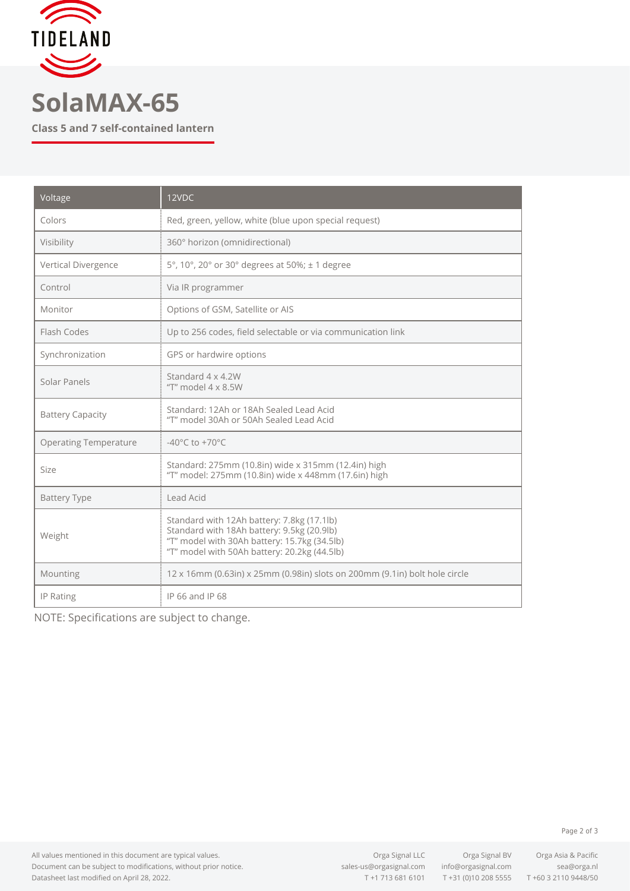

## **SolaMAX-65**

**Class 5 and 7 self-contained lantern**

| Voltage                      | 12VDC                                                                                                                                                                                    |
|------------------------------|------------------------------------------------------------------------------------------------------------------------------------------------------------------------------------------|
| Colors                       | Red, green, yellow, white (blue upon special request)                                                                                                                                    |
| Visibility                   | 360° horizon (omnidirectional)                                                                                                                                                           |
| Vertical Divergence          | 5°, 10°, 20° or 30° degrees at 50%; ± 1 degree                                                                                                                                           |
| Control                      | Via IR programmer                                                                                                                                                                        |
| Monitor                      | Options of GSM, Satellite or AIS                                                                                                                                                         |
| Flash Codes                  | Up to 256 codes, field selectable or via communication link                                                                                                                              |
| Synchronization              | GPS or hardwire options                                                                                                                                                                  |
| Solar Panels                 | Standard 4 x 4.2W<br>"T" model $4 \times 8.5W$                                                                                                                                           |
| <b>Battery Capacity</b>      | Standard: 12Ah or 18Ah Sealed Lead Acid<br>"T" model 30Ah or 50Ah Sealed Lead Acid                                                                                                       |
| <b>Operating Temperature</b> | -40 $^{\circ}$ C to +70 $^{\circ}$ C                                                                                                                                                     |
| Size                         | Standard: 275mm (10.8in) wide x 315mm (12.4in) high<br>"T" model: 275mm (10.8in) wide x 448mm (17.6in) high                                                                              |
| <b>Battery Type</b>          | Lead Acid                                                                                                                                                                                |
| Weight                       | Standard with 12Ah battery: 7.8kg (17.1lb)<br>Standard with 18Ah battery: 9.5kg (20.9lb)<br>"T" model with 30Ah battery: 15.7kg (34.5lb)<br>"T" model with 50Ah battery: 20.2kg (44.5lb) |
| Mounting                     | 12 x 16mm (0.63in) x 25mm (0.98in) slots on 200mm (9.1in) bolt hole circle                                                                                                               |
| IP Rating                    | IP 66 and IP 68                                                                                                                                                                          |

NOTE: Specifications are subject to change.

Page 2 of 3